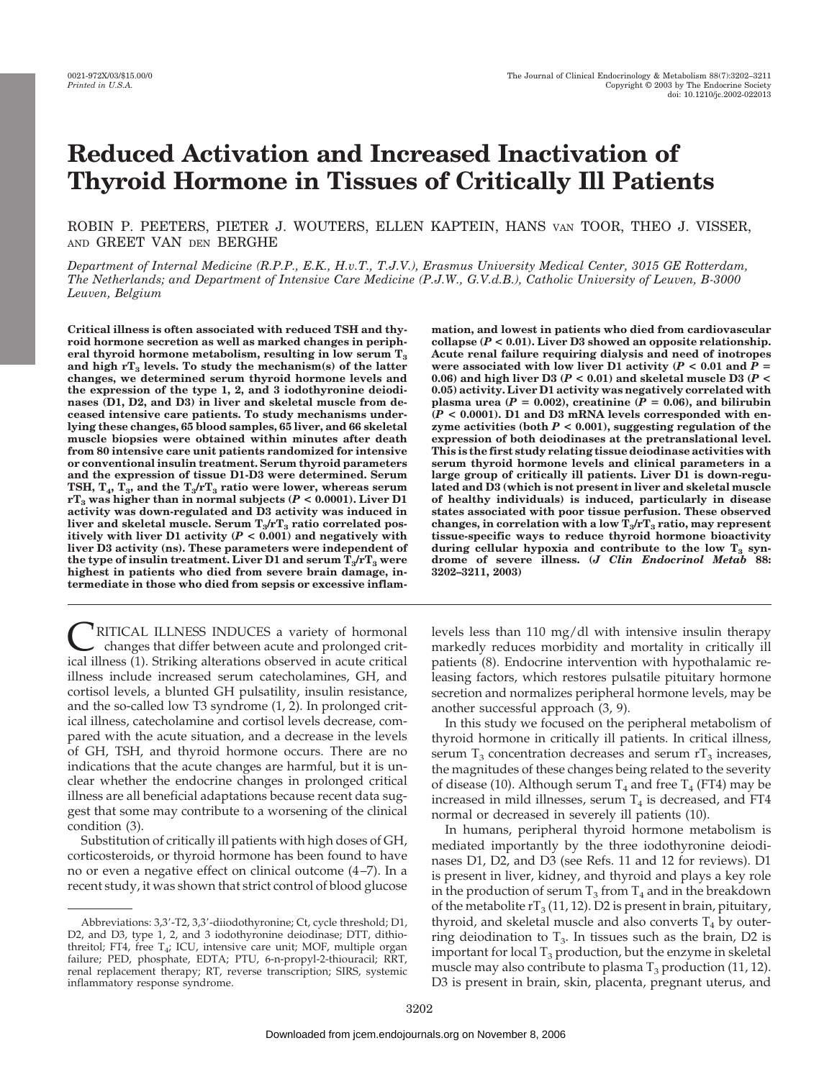# **Reduced Activation and Increased Inactivation of Thyroid Hormone in Tissues of Critically Ill Patients**

ROBIN P. PEETERS, PIETER J. WOUTERS, ELLEN KAPTEIN, HANS VAN TOOR, THEO J. VISSER, AND GREET VAN DEN BERGHE

*Department of Internal Medicine (R.P.P., E.K., H.v.T., T.J.V.), Erasmus University Medical Center, 3015 GE Rotterdam, The Netherlands; and Department of Intensive Care Medicine (P.J.W., G.V.d.B.), Catholic University of Leuven, B-3000 Leuven, Belgium*

**Critical illness is often associated with reduced TSH and thyroid hormone secretion as well as marked changes in periph**eral thyroid hormone metabolism, resulting in low serum T<sub>3</sub> and high rT<sub>3</sub> levels. To study the mechanism(s) of the latter **changes, we determined serum thyroid hormone levels and the expression of the type 1, 2, and 3 iodothyronine deiodinases (D1, D2, and D3) in liver and skeletal muscle from deceased intensive care patients. To study mechanisms underlying these changes, 65 blood samples, 65 liver, and 66 skeletal muscle biopsies were obtained within minutes after death from 80 intensive care unit patients randomized for intensive or conventional insulin treatment. Serum thyroid parameters and the expression of tissue D1-D3 were determined. Serum** TSH,  $T_4$ ,  $T_3$ , and the  $T_3/rT_3$  ratio were lower, whereas serum **rT**<sub>3</sub> was higher than in normal subjects ( $P < 0.0001$ ). Liver D1 **activity was down-regulated and D3 activity was induced in** liver and skeletal muscle. Serum  $T_3/rT_3$  ratio correlated pos**itively with liver D1 activity**  $(P < 0.001)$  **and negatively with liver D3 activity (ns). These parameters were independent of** the type of insulin treatment. Liver D1 and serum  $T_3/rT_3$  were **highest in patients who died from severe brain damage, intermediate in those who died from sepsis or excessive inflam-**

RITICAL ILLNESS INDUCES a variety of hormonal changes that differ between acute and prolonged critical illness (1). Striking alterations observed in acute critical illness include increased serum catecholamines, GH, and cortisol levels, a blunted GH pulsatility, insulin resistance, and the so-called low T3 syndrome (1, 2). In prolonged critical illness, catecholamine and cortisol levels decrease, compared with the acute situation, and a decrease in the levels of GH, TSH, and thyroid hormone occurs. There are no indications that the acute changes are harmful, but it is unclear whether the endocrine changes in prolonged critical illness are all beneficial adaptations because recent data suggest that some may contribute to a worsening of the clinical condition (3).

Substitution of critically ill patients with high doses of GH, corticosteroids, or thyroid hormone has been found to have no or even a negative effect on clinical outcome (4–7). In a recent study, it was shown that strict control of blood glucose

**mation, and lowest in patients who died from cardiovascular** collapse  $(P < 0.01)$ . Liver D3 showed an opposite relationship. **Acute renal failure requiring dialysis and need of inotropes were associated with low liver D1 activity (** $P < 0.01$  **and**  $P =$ 0.06) and high liver D3 ( $P < 0.01$ ) and skeletal muscle D3 ( $P <$ **0.05) activity. Liver D1 activity was negatively correlated with** plasma urea  $(P = 0.002)$ , creatinine  $(P = 0.06)$ , and bilirubin **(***P* **< 0.0001). D1 and D3 mRNA levels corresponded with enzyme activities (both** *P* **< 0.001), suggesting regulation of the expression of both deiodinases at the pretranslational level. This is the first study relating tissue deiodinase activities with serum thyroid hormone levels and clinical parameters in a large group of critically ill patients. Liver D1 is down-regulated and D3 (which is not present in liver and skeletal muscle of healthy individuals) is induced, particularly in disease states associated with poor tissue perfusion. These observed** changes, in correlation with a low  $T_3/rT_3$  ratio, may represent **tissue-specific ways to reduce thyroid hormone bioactivity** during cellular hypoxia and contribute to the low  $T_3$  syn**drome of severe illness. (***J Clin Endocrinol Metab* **88: 3202–3211, 2003)**

levels less than 110 mg/dl with intensive insulin therapy markedly reduces morbidity and mortality in critically ill patients (8). Endocrine intervention with hypothalamic releasing factors, which restores pulsatile pituitary hormone secretion and normalizes peripheral hormone levels, may be another successful approach (3, 9).

In this study we focused on the peripheral metabolism of thyroid hormone in critically ill patients. In critical illness, serum  $T_3$  concentration decreases and serum  $rT_3$  increases, the magnitudes of these changes being related to the severity of disease (10). Although serum  $T_4$  and free  $T_4$  (FT4) may be increased in mild illnesses, serum  $T_4$  is decreased, and FT4 normal or decreased in severely ill patients (10).

In humans, peripheral thyroid hormone metabolism is mediated importantly by the three iodothyronine deiodinases D1, D2, and D3 (see Refs. 11 and 12 for reviews). D1 is present in liver, kidney, and thyroid and plays a key role in the production of serum  $T_3$  from  $T_4$  and in the breakdown of the metabolite  $rT_3$  (11, 12). D2 is present in brain, pituitary, thyroid, and skeletal muscle and also converts  $T_4$  by outerring deiodination to  $T_3$ . In tissues such as the brain, D2 is important for local  $T_3$  production, but the enzyme in skeletal muscle may also contribute to plasma  $T_3$  production (11, 12). D3 is present in brain, skin, placenta, pregnant uterus, and

Abbreviations: 3,3-T2, 3,3-diiodothyronine; Ct, cycle threshold; D1, D2, and D3, type 1, 2, and 3 iodothyronine deiodinase; DTT, dithiothreitol; FT4, free  $T_4$ ; ICU, intensive care unit; MOF, multiple organ failure; PED, phosphate, EDTA; PTU, 6-n-propyl-2-thiouracil; RRT, renal replacement therapy; RT, reverse transcription; SIRS, systemic inflammatory response syndrome.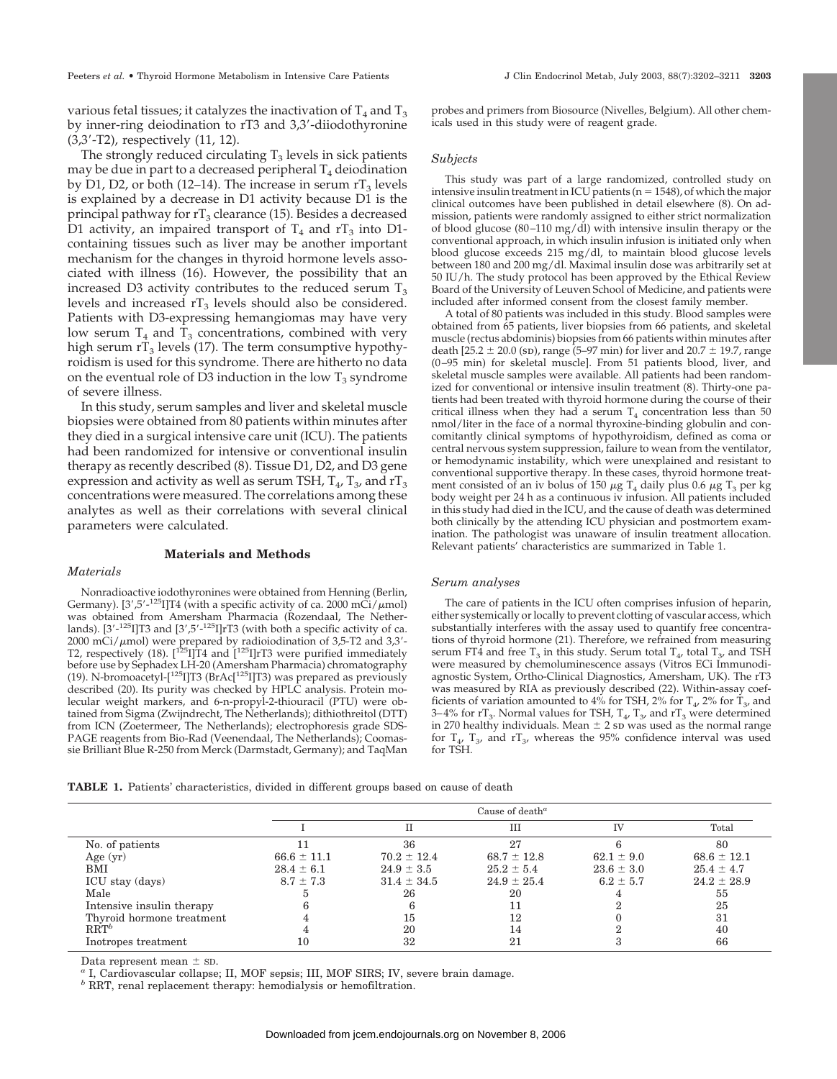various fetal tissues; it catalyzes the inactivation of  $T_4$  and  $T_3$ by inner-ring deiodination to rT3 and 3,3-diiodothyronine (3,3-T2), respectively (11, 12).

The strongly reduced circulating  $T_3$  levels in sick patients may be due in part to a decreased peripheral  $T_4$  deiodination by D1, D2, or both (12–14). The increase in serum  $rT_3$  levels is explained by a decrease in D1 activity because D1 is the principal pathway for  $rT_3$  clearance (15). Besides a decreased D1 activity, an impaired transport of  $T_4$  and  $rT_3$  into D1containing tissues such as liver may be another important mechanism for the changes in thyroid hormone levels associated with illness (16). However, the possibility that an increased D3 activity contributes to the reduced serum  $T_3$ levels and increased  $rT_3$  levels should also be considered. Patients with D3-expressing hemangiomas may have very low serum  $T_4$  and  $T_3$  concentrations, combined with very high serum  $rT_3$  levels (17). The term consumptive hypothyroidism is used for this syndrome. There are hitherto no data on the eventual role of D3 induction in the low  $T_3$  syndrome of severe illness.

In this study, serum samples and liver and skeletal muscle biopsies were obtained from 80 patients within minutes after they died in a surgical intensive care unit (ICU). The patients had been randomized for intensive or conventional insulin therapy as recently described (8). Tissue D1, D2, and D3 gene expression and activity as well as serum TSH,  $T_4$ ,  $T_3$ , and  $rT_3$ concentrations were measured. The correlations among these analytes as well as their correlations with several clinical parameters were calculated.

# **Materials and Methods**

## *Materials*

Nonradioactive iodothyronines were obtained from Henning (Berlin, Germany). [3',5'-<sup>125</sup>I]T4 (with a specific activity of ca. 2000 m $\widetilde{\text{Ci}}$ / $\mu$ mol) was obtained from Amersham Pharmacia (Rozendaal, The Netherlands). [3'-<sup>125</sup>I]T3 and [3',5'-<sup>125</sup>I]rT3 (with both a specific activity of ca. 2000 mCi/µmol) were prepared by radioiodination of 3,5-T2 and 3,3'-<br>T2, respectively (18). [<sup>125</sup>I]T4 and [<sup>125</sup>I]rT3 were purified immediately before use by Sephadex LH-20 (Amersham Pharmacia) chromatography (19). N-bromoacetyl-[125I]T3 (BrAc[125I]T3) was prepared as previously described (20). Its purity was checked by HPLC analysis. Protein molecular weight markers, and 6-n-propyl-2-thiouracil (PTU) were obtained from Sigma (Zwijndrecht, The Netherlands); dithiothreitol (DTT) from ICN (Zoetermeer, The Netherlands); electrophoresis grade SDS-PAGE reagents from Bio-Rad (Veenendaal, The Netherlands); Coomassie Brilliant Blue R-250 from Merck (Darmstadt, Germany); and TaqMan probes and primers from Biosource (Nivelles, Belgium). All other chemicals used in this study were of reagent grade.

## *Subjects*

This study was part of a large randomized, controlled study on intensive insulin treatment in ICU patients ( $n = 1548$ ), of which the major clinical outcomes have been published in detail elsewhere (8). On admission, patients were randomly assigned to either strict normalization of blood glucose (80–110 mg/dl) with intensive insulin therapy or the conventional approach, in which insulin infusion is initiated only when blood glucose exceeds 215 mg/dl, to maintain blood glucose levels between 180 and 200 mg/dl. Maximal insulin dose was arbitrarily set at 50 IU/h. The study protocol has been approved by the Ethical Review Board of the University of Leuven School of Medicine, and patients were included after informed consent from the closest family member.

A total of 80 patients was included in this study. Blood samples were obtained from 65 patients, liver biopsies from 66 patients, and skeletal muscle (rectus abdominis) biopsies from 66 patients within minutes after death  $[25.2 \pm 20.0 \text{ (sb)}$ , range (5–97 min) for liver and 20.7  $\pm$  19.7, range (0–95 min) for skeletal muscle]. From 51 patients blood, liver, and skeletal muscle samples were available. All patients had been randomized for conventional or intensive insulin treatment (8). Thirty-one patients had been treated with thyroid hormone during the course of their critical illness when they had a serum  $T_4$  concentration less than 50 nmol/liter in the face of a normal thyroxine-binding globulin and concomitantly clinical symptoms of hypothyroidism, defined as coma or central nervous system suppression, failure to wean from the ventilator, or hemodynamic instability, which were unexplained and resistant to conventional supportive therapy. In these cases, thyroid hormone treatment consisted of an iv bolus of 150  $\mu$ g T<sub>4</sub> daily plus 0.6  $\mu$ g T<sub>3</sub> per kg body weight per 24 h as a continuous iv infusion. All patients included in this study had died in the ICU, and the cause of death was determined both clinically by the attending ICU physician and postmortem examination. The pathologist was unaware of insulin treatment allocation. Relevant patients' characteristics are summarized in Table 1.

#### *Serum analyses*

The care of patients in the ICU often comprises infusion of heparin, either systemically or locally to prevent clotting of vascular access, which substantially interferes with the assay used to quantify free concentrations of thyroid hormone (21). Therefore, we refrained from measuring serum FT4 and free  $T_3$  in this study. Serum total  $T_4$ , total  $T_3$ , and TSH were measured by chemoluminescence assays (Vitros ECi Immunodiagnostic System, Ortho-Clinical Diagnostics, Amersham, UK). The rT3 was measured by RIA as previously described (22). Within-assay coefficients of variation amounted to 4% for TSH, 2% for  $T_4$ , 2% for  $T_3$ , and 3–4% for  $rT_3$ . Normal values for TSH,  $T_4$ ,  $T_3$ , and  $rT_3$  were determined in 270 healthy individuals. Mean  $\pm$  2 sp was used as the normal range for  $T_4$ ,  $T_3$ , and  $T_3$ , whereas the 95% confidence interval was used for TSH.

|  |  |  | <b>TABLE 1.</b> Patients' characteristics, divided in different groups based on cause of death |  |  |  |  |  |  |  |  |  |
|--|--|--|------------------------------------------------------------------------------------------------|--|--|--|--|--|--|--|--|--|
|--|--|--|------------------------------------------------------------------------------------------------|--|--|--|--|--|--|--|--|--|

|                           |                 |                 | Cause of death <sup><math>a</math></sup> |                |                 |
|---------------------------|-----------------|-----------------|------------------------------------------|----------------|-----------------|
|                           |                 |                 | H                                        | IV             | Total           |
| No. of patients           |                 | 36              | 27                                       |                | 80              |
| Age $(yr)$                | $66.6 \pm 11.1$ | $70.2 \pm 12.4$ | $68.7 \pm 12.8$                          | $62.1 \pm 9.0$ | $68.6 \pm 12.1$ |
| BMI                       | $28.4 \pm 6.1$  | $24.9 \pm 3.5$  | $25.2 \pm 5.4$                           | $23.6 \pm 3.0$ | $25.4 \pm 4.7$  |
| ICU stay (days)           | $8.7 \pm 7.3$   | $31.4 \pm 34.5$ | $24.9 \pm 25.4$                          | $6.2 \pm 5.7$  | $24.2 \pm 28.9$ |
| Male                      |                 | 26              | 20                                       |                | 55              |
| Intensive insulin therapy |                 |                 |                                          |                | 25              |
| Thyroid hormone treatment |                 | 15              | 12                                       |                | 31              |
| $\mathrm{RRT}^b$          |                 | 20              | 14                                       |                | 40              |
| Inotropes treatment       | $10\,$          | 32              |                                          |                | 66              |

Data represent mean ± SD.<br><sup>*a*</sup> I, Cardiovascular collapse; II, MOF sepsis; III, MOF SIRS; IV, severe brain damage.

*<sup>b</sup>* RRT, renal replacement therapy: hemodialysis or hemofiltration.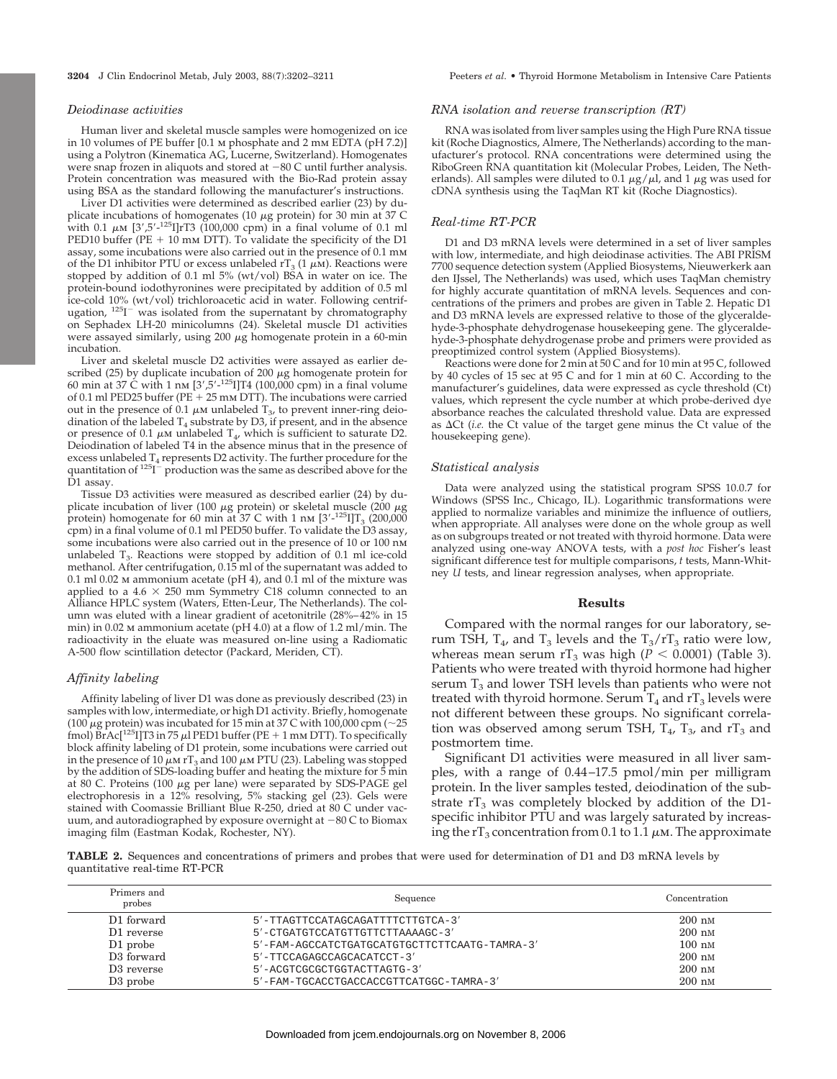Human liver and skeletal muscle samples were homogenized on ice in 10 volumes of PE buffer [0.1 m phosphate and 2 mm EDTA (pH 7.2)] using a Polytron (Kinematica AG, Lucerne, Switzerland). Homogenates were snap frozen in aliquots and stored at  $-80$  C until further analysis. Protein concentration was measured with the Bio-Rad protein assay using BSA as the standard following the manufacturer's instructions.

Liver D1 activities were determined as described earlier (23) by duplicate incubations of homogenates (10  $\mu$ g protein) for 30 min at 37 C with 0.1  $\mu$ M [3',5'-<sup>125</sup>I]rT3 (100,000 cpm) in a final volume of 0.1 ml PED10 buffer (PE  $+$  10 mm DTT). To validate the specificity of the D1 assay, some incubations were also carried out in the presence of 0.1 mm of the D1 inhibitor PTU or excess unlabeled  $rT_3$  (1  $\mu$ M). Reactions were stopped by addition of 0.1 ml 5% (wt/vol) BSA in water on ice. The protein-bound iodothyronines were precipitated by addition of 0.5 ml ice-cold 10% (wt/vol) trichloroacetic acid in water. Following centrif-<br>ugation, <sup>125</sup>I<sup>-</sup> was isolated from the supernatant by chromatography on Sephadex LH-20 minicolumns (24). Skeletal muscle D1 activities were assayed similarly, using  $200 \mu$ g homogenate protein in a 60-min incubation.

Liver and skeletal muscle D2 activities were assayed as earlier described (25) by duplicate incubation of 200  $\mu$ g homogenate protein for 60 min at 37  $\acute{C}$  with 1 nm [3',5'-<sup>125</sup>I]T4 (100,000 cpm) in a final volume of 0.1 ml PED25 buffer (PE  $\pm$  25 mm DTT). The incubations were carried out in the presence of 0.1  $\mu$ M unlabeled  $T_3$ , to prevent inner-ring deiodination of the labeled  $T_4$  substrate by D3, if present, and in the absence or presence of 0.1  $\mu$ M unlabeled T<sub>4</sub>, which is sufficient to saturate D2. Deiodination of labeled T4 in the absence minus that in the presence of excess unlabeled T<sub>4</sub> represents D2 activity. The further procedure for the<br>quantitation of <sup>125</sup>I<sup>-</sup> production was the same as described above for the D1 assay.

Tissue D3 activities were measured as described earlier (24) by duplicate incubation of liver (100  $\mu$ g protein) or skeletal muscle (200  $\mu$ g protein) homogenate for 60 min at 37 C with 1 nm  $[3'$ - $^{125}$ I]T<sub>3</sub> (200,000 cpm) in a final volume of 0.1 ml PED50 buffer. To validate the D3 assay, some incubations were also carried out in the presence of 10 or 100 nm unlabeled  $T_3$ . Reactions were stopped by addition of 0.1 ml ice-cold methanol. After centrifugation, 0.15 ml of the supernatant was added to 0.1 ml 0.02 m ammonium acetate (pH 4), and 0.1 ml of the mixture was applied to a  $4.6 \times 250$  mm Symmetry C18 column connected to an Alliance HPLC system (Waters, Etten-Leur, The Netherlands). The column was eluted with a linear gradient of acetonitrile (28%–42% in 15 min) in 0.02 m ammonium acetate (pH 4.0) at a flow of 1.2 ml/min. The radioactivity in the eluate was measured on-line using a Radiomatic A-500 flow scintillation detector (Packard, Meriden, CT).

## *Affinity labeling*

Affinity labeling of liver D1 was done as previously described (23) in samples with low, intermediate, or high D1 activity. Briefly, homogenate (100  $\mu$ g protein) was incubated for 15 min at 37 C with 100,000 cpm (~25 fmol)  $\overrightarrow{Br}$ Ac[<sup>125</sup>I]T3 in 75  $\mu$ l PED1 buffer (PE + 1 mm DTT). To specifically block affinity labeling of D1 protein, some incubations were carried out in the presence of 10  $\mu$ m rT<sub>3</sub> and 100  $\mu$ m PTU (23). Labeling was stopped by the addition of SDS-loading buffer and heating the mixture for 5 min at 80 C. Proteins (100  $\mu$ g per lane) were separated by SDS-PAGE gel electrophoresis in a 12% resolving, 5% stacking gel (23). Gels were stained with Coomassie Brilliant Blue R-250, dried at 80 C under vacuum, and autoradiographed by exposure overnight at  $-80$  C to Biomax imaging film (Eastman Kodak, Rochester, NY).

#### *RNA isolation and reverse transcription (RT)*

RNA was isolated from liver samples using the High Pure RNA tissue kit (Roche Diagnostics, Almere, The Netherlands) according to the manufacturer's protocol. RNA concentrations were determined using the RiboGreen RNA quantitation kit (Molecular Probes, Leiden, The Netherlands). All samples were diluted to 0.1  $\mu$ g/ $\mu$ l, and 1  $\mu$ g was used for cDNA synthesis using the TaqMan RT kit (Roche Diagnostics).

## *Real-time RT-PCR*

D1 and D3 mRNA levels were determined in a set of liver samples with low, intermediate, and high deiodinase activities. The ABI PRISM 7700 sequence detection system (Applied Biosystems, Nieuwerkerk aan den IJssel, The Netherlands) was used, which uses TaqMan chemistry for highly accurate quantitation of mRNA levels. Sequences and concentrations of the primers and probes are given in Table 2. Hepatic D1 and D3 mRNA levels are expressed relative to those of the glyceraldehyde-3-phosphate dehydrogenase housekeeping gene. The glyceraldehyde-3-phosphate dehydrogenase probe and primers were provided as preoptimized control system (Applied Biosystems).

Reactions were done for 2 min at 50 C and for 10 min at 95 C, followed by 40 cycles of 15 sec at 95 C and for 1 min at 60 C. According to the manufacturer's guidelines, data were expressed as cycle threshold (Ct) values, which represent the cycle number at which probe-derived dye absorbance reaches the calculated threshold value. Data are expressed as  $\Delta$ Ct (*i.e.* the Ct value of the target gene minus the Ct value of the housekeeping gene).

#### *Statistical analysis*

Data were analyzed using the statistical program SPSS 10.0.7 for Windows (SPSS Inc., Chicago, IL). Logarithmic transformations were applied to normalize variables and minimize the influence of outliers, when appropriate. All analyses were done on the whole group as well as on subgroups treated or not treated with thyroid hormone. Data were analyzed using one-way ANOVA tests, with a *post hoc* Fisher's least significant difference test for multiple comparisons, *t* tests, Mann-Whitney *U* tests, and linear regression analyses, when appropriate.

#### **Results**

Compared with the normal ranges for our laboratory, serum TSH,  $T_4$ , and  $T_3$  levels and the  $T_3/rT_3$  ratio were low, whereas mean serum  $rT_3$  was high ( $P < 0.0001$ ) (Table 3). Patients who were treated with thyroid hormone had higher serum  $T_3$  and lower TSH levels than patients who were not treated with thyroid hormone. Serum  $T_4$  and  $rT_3$  levels were not different between these groups. No significant correlation was observed among serum TSH,  $T_4$ ,  $T_3$ , and  $rT_3$  and postmortem time.

Significant D1 activities were measured in all liver samples, with a range of 0.44–17.5 pmol/min per milligram protein. In the liver samples tested, deiodination of the substrate  $rT_3$  was completely blocked by addition of the D1specific inhibitor PTU and was largely saturated by increasing the rT<sub>3</sub> concentration from 0.1 to 1.1  $\mu$ M. The approximate

**TABLE 2.** Sequences and concentrations of primers and probes that were used for determination of D1 and D3 mRNA levels by quantitative real-time RT-PCR

| Primers and<br>probes  | Sequence                                      | Concentration    |  |  |
|------------------------|-----------------------------------------------|------------------|--|--|
| D1 forward             | 5'-TTAGTTCCATAGCAGATTTTCTTGTCA-3'             | $200 \text{ nm}$ |  |  |
| D1 reverse             | 5'-CTGATGTCCATGTTGTTCTTAAAAGC-3'              | $200 \text{ nm}$ |  |  |
| D1 probe               | 5'-FAM-AGCCATCTGATGCATGTGCTTCTTCAATG-TAMRA-3' | $100 \text{ nm}$ |  |  |
| D <sub>3</sub> forward | 5'-TTCCAGAGCCAGCACATCCT-3'                    | $200 \text{ nm}$ |  |  |
| D <sub>3</sub> reverse | 5'-ACGTCGCGCTGGTACTTAGTG-3'                   | $200 \text{ nm}$ |  |  |
| D <sub>3</sub> probe   | 5'-FAM-TGCACCTGACCACCGTTCATGGC-TAMRA-3'       | $200 \text{ nm}$ |  |  |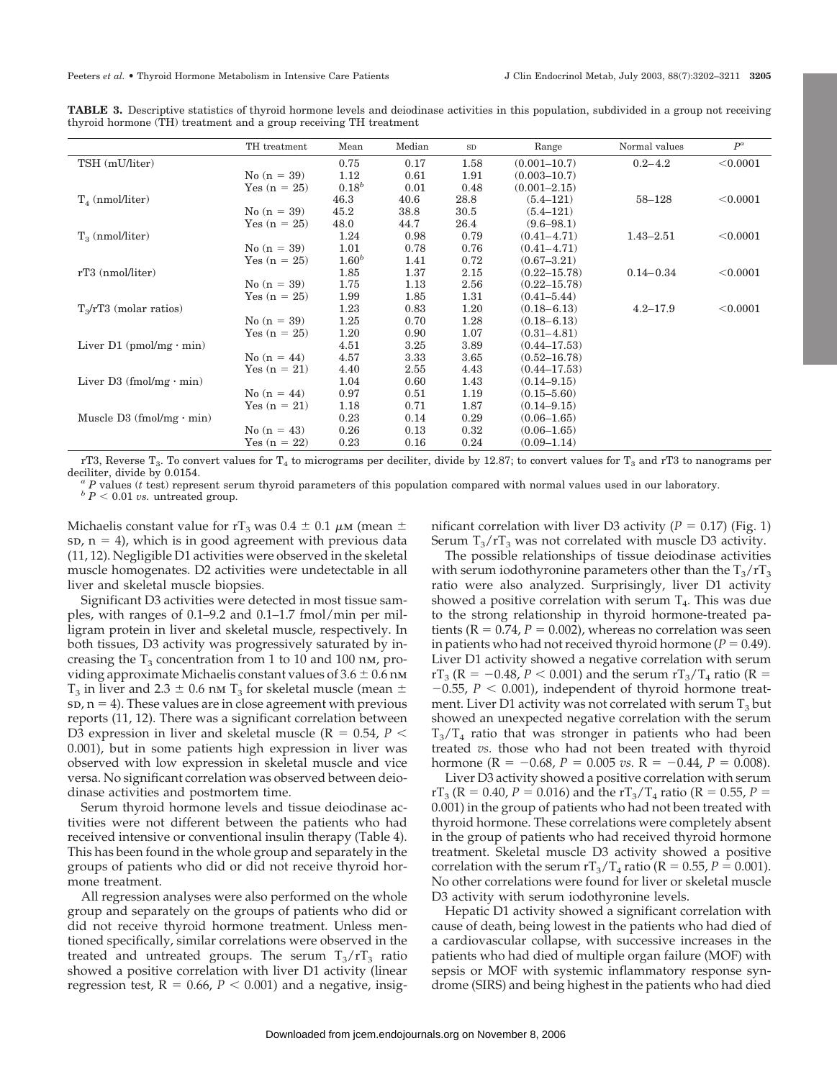|                                  | TH treatment   | Mean       | Median | ${\rm SD}$ | Range            | Normal values | $P^a$    |
|----------------------------------|----------------|------------|--------|------------|------------------|---------------|----------|
| TSH (mU/liter)                   |                | 0.75       | 0.17   | 1.58       | $(0.001 - 10.7)$ | $0.2 - 4.2$   | < 0.0001 |
|                                  | No $(n = 39)$  | 1.12       | 0.61   | 1.91       | $(0.003 - 10.7)$ |               |          |
|                                  | Yes $(n = 25)$ | $0.18^{b}$ | 0.01   | 0.48       | $(0.001 - 2.15)$ |               |          |
| $T_{4}$ (nmol/liter)             |                | 46.3       | 40.6   | 28.8       | $(5.4 - 121)$    | 58-128        | < 0.0001 |
|                                  | $No (n = 39)$  | 45.2       | 38.8   | 30.5       | $(5.4 - 121)$    |               |          |
|                                  | Yes $(n = 25)$ | 48.0       | 44.7   | 26.4       | $(9.6 - 98.1)$   |               |          |
| $T_3$ (nmol/liter)               |                | 1.24       | 0.98   | 0.79       | $(0.41 - 4.71)$  | $1.43 - 2.51$ | < 0.0001 |
|                                  | $No (n = 39)$  | 1.01       | 0.78   | 0.76       | $(0.41 - 4.71)$  |               |          |
|                                  | Yes $(n = 25)$ | $1.60^{b}$ | 1.41   | 0.72       | $(0.67 - 3.21)$  |               |          |
| $rT3$ (nmol/liter)               |                | 1.85       | 1.37   | 2.15       | $(0.22 - 15.78)$ | $0.14 - 0.34$ | < 0.0001 |
|                                  | No $(n = 39)$  | 1.75       | 1.13   | 2.56       | $(0.22 - 15.78)$ |               |          |
|                                  | Yes $(n = 25)$ | 1.99       | 1.85   | 1.31       | $(0.41 - 5.44)$  |               |          |
| $T_{\rm s}/rT3$ (molar ratios)   |                | 1.23       | 0.83   | 1.20       | $(0.18 - 6.13)$  | $4.2 - 17.9$  | < 0.0001 |
|                                  | No $(n = 39)$  | 1.25       | 0.70   | 1.28       | $(0.18 - 6.13)$  |               |          |
|                                  | Yes $(n = 25)$ | 1.20       | 0.90   | 1.07       | $(0.31 - 4.81)$  |               |          |
| Liver $D1$ (pmol/mg $\cdot$ min) |                | 4.51       | 3.25   | 3.89       | $(0.44 - 17.53)$ |               |          |
|                                  | No $(n = 44)$  | 4.57       | 3.33   | 3.65       | $(0.52 - 16.78)$ |               |          |
|                                  | Yes $(n = 21)$ | 4.40       | 2.55   | 4.43       | $(0.44 - 17.53)$ |               |          |
| Liver $D3$ (fmol/mg $\cdot$ min) |                | 1.04       | 0.60   | 1.43       | $(0.14 - 9.15)$  |               |          |
|                                  | No $(n = 44)$  | 0.97       | 0.51   | 1.19       | $(0.15 - 5.60)$  |               |          |
|                                  | Yes $(n = 21)$ | 1.18       | 0.71   | 1.87       | $(0.14 - 9.15)$  |               |          |
| Muscle D3 (fmol/mg $\cdot$ min)  |                | 0.23       | 0.14   | 0.29       | $(0.06 - 1.65)$  |               |          |
|                                  | No $(n = 43)$  | 0.26       | 0.13   | 0.32       | $(0.06 - 1.65)$  |               |          |
|                                  | Yes $(n = 22)$ | 0.23       | 0.16   | 0.24       | $(0.09 - 1.14)$  |               |          |

**TABLE 3.** Descriptive statistics of thyroid hormone levels and deiodinase activities in this population, subdivided in a group not receiving thyroid hormone (TH) treatment and a group receiving TH treatment

rT3, Reverse T<sub>3</sub>. To convert values for T<sub>4</sub> to micrograms per deciliter, divide by 12.87; to convert values for T<sub>3</sub> and rT3 to nanograms per deciliter, divide by 0.0154.

<sup>*a*</sup> *P* values (*t* test) represent serum thyroid parameters of this population compared with normal values used in our laboratory.<br><sup>*b*</sup> *P* < 0.01 *vs*. untreated group.

Michaelis constant value for rT<sub>3</sub> was 0.4  $\pm$  0.1  $\mu$ M (mean  $\pm$  $s$ D,  $n = 4$ ), which is in good agreement with previous data (11, 12). Negligible D1 activities were observed in the skeletal muscle homogenates. D2 activities were undetectable in all liver and skeletal muscle biopsies.

Significant D3 activities were detected in most tissue samples, with ranges of 0.1–9.2 and 0.1–1.7 fmol/min per milligram protein in liver and skeletal muscle, respectively. In both tissues, D3 activity was progressively saturated by increasing the  $T_3$  concentration from 1 to 10 and 100 nm, providing approximate Michaelis constant values of  $3.6 \pm 0.6$  nm  $T_3$  in liver and 2.3  $\pm$  0.6 nm  $T_3$  for skeletal muscle (mean  $\pm$  $s$ D,  $n = 4$ ). These values are in close agreement with previous reports (11, 12). There was a significant correlation between D3 expression in liver and skeletal muscle ( $R = 0.54$ ,  $P <$ 0.001), but in some patients high expression in liver was observed with low expression in skeletal muscle and vice versa. No significant correlation was observed between deiodinase activities and postmortem time.

Serum thyroid hormone levels and tissue deiodinase activities were not different between the patients who had received intensive or conventional insulin therapy (Table 4). This has been found in the whole group and separately in the groups of patients who did or did not receive thyroid hormone treatment.

All regression analyses were also performed on the whole group and separately on the groups of patients who did or did not receive thyroid hormone treatment. Unless mentioned specifically, similar correlations were observed in the treated and untreated groups. The serum  $T_3/rT_3$  ratio showed a positive correlation with liver D1 activity (linear regression test,  $R = 0.66$ ,  $P < 0.001$ ) and a negative, insig-

nificant correlation with liver D3 activity ( $P = 0.17$ ) (Fig. 1) Serum  $T_3/rT_3$  was not correlated with muscle D3 activity.

The possible relationships of tissue deiodinase activities with serum iodothyronine parameters other than the  $T_3/T_3$ ratio were also analyzed. Surprisingly, liver D1 activity showed a positive correlation with serum  $T<sub>4</sub>$ . This was due to the strong relationship in thyroid hormone-treated patients ( $R = 0.74$ ,  $P = 0.002$ ), whereas no correlation was seen in patients who had not received thyroid hormone ( $P = 0.49$ ). Liver D1 activity showed a negative correlation with serum  $rT_3$  (R =  $-0.48$ , *P* < 0.001) and the serum  $rT_3/T_4$  ratio (R =  $-0.55$ ,  $P < 0.001$ ), independent of thyroid hormone treatment. Liver D1 activity was not correlated with serum  $T_3$  but showed an unexpected negative correlation with the serum  $T_3/T_4$  ratio that was stronger in patients who had been treated *vs.* those who had not been treated with thyroid hormone ( $R = -0.68$ ,  $P = 0.005$  *vs.*  $R = -0.44$ ,  $P = 0.008$ ).

Liver D3 activity showed a positive correlation with serum  $rT_3$  (R = 0.40, *P* = 0.016) and the  $rT_3/T_4$  ratio (R = 0.55, *P* = 0.001) in the group of patients who had not been treated with thyroid hormone. These correlations were completely absent in the group of patients who had received thyroid hormone treatment. Skeletal muscle D3 activity showed a positive correlation with the serum  $rT_3/T_4$  ratio ( $R = 0.55$ ,  $P = 0.001$ ). No other correlations were found for liver or skeletal muscle D3 activity with serum iodothyronine levels.

Hepatic D1 activity showed a significant correlation with cause of death, being lowest in the patients who had died of a cardiovascular collapse, with successive increases in the patients who had died of multiple organ failure (MOF) with sepsis or MOF with systemic inflammatory response syndrome (SIRS) and being highest in the patients who had died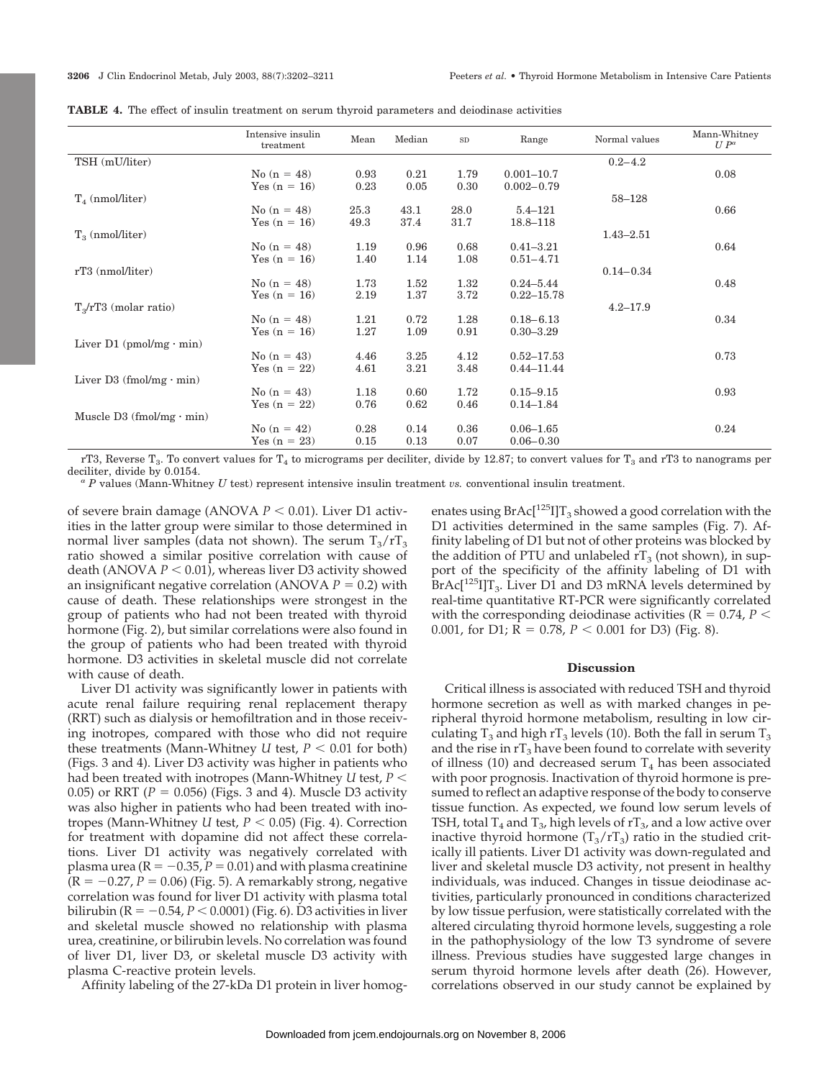|                                 | Intensive insulin<br>treatment | Mean | Median   | ${\rm SD}$ | Range          | Normal values | Mann-Whitney<br>$U P^a$ |
|---------------------------------|--------------------------------|------|----------|------------|----------------|---------------|-------------------------|
| TSH (mU/liter)                  |                                |      |          |            |                | $0.2 - 4.2$   |                         |
|                                 | No $(n = 48)$                  | 0.93 | 0.21     | 1.79       | $0.001 - 10.7$ |               | 0.08                    |
|                                 | Yes $(n = 16)$                 | 0.23 | 0.05     | 0.30       | $0.002 - 0.79$ |               |                         |
| $T_{4}$ (nmol/liter)            |                                |      |          |            |                | 58-128        |                         |
|                                 | No $(n = 48)$                  | 25.3 | 43.1     | 28.0       | $5.4 - 121$    |               | 0.66                    |
|                                 | Yes $(n = 16)$                 | 49.3 | 37.4     | 31.7       | 18.8-118       |               |                         |
| $T_{\rm a}$ (nmol/liter)        |                                |      |          |            |                | $1.43 - 2.51$ |                         |
|                                 | No $(n = 48)$                  | 1.19 | 0.96     | 0.68       | $0.41 - 3.21$  |               | 0.64                    |
|                                 | Yes $(n = 16)$                 | 1.40 | 1.14     | 1.08       | $0.51 - 4.71$  |               |                         |
| $rT3$ (nmol/liter)              |                                |      |          |            |                | $0.14 - 0.34$ |                         |
|                                 | No $(n = 48)$                  | 1.73 | $1.52\,$ | 1.32       | $0.24 - 5.44$  |               | 0.48                    |
|                                 | Yes $(n = 16)$                 | 2.19 | 1.37     | 3.72       | $0.22 - 15.78$ |               |                         |
| $T_{\rm s}/rT3$ (molar ratio)   |                                |      |          |            |                | $4.2 - 17.9$  |                         |
|                                 | No $(n = 48)$                  | 1.21 | 0.72     | 1.28       | $0.18 - 6.13$  |               | 0.34                    |
|                                 | Yes $(n = 16)$                 | 1.27 | 1.09     | 0.91       | $0.30 - 3.29$  |               |                         |
| Liver $D1$ (pmol/mg · min)      |                                |      |          |            |                |               |                         |
|                                 | No $(n = 43)$                  | 4.46 | 3.25     | 4.12       | $0.52 - 17.53$ |               | 0.73                    |
|                                 | Yes $(n = 22)$                 | 4.61 | 3.21     | 3.48       | $0.44 - 11.44$ |               |                         |
| Liver D3 (fmol/mg $\cdot$ min)  |                                |      |          |            |                |               |                         |
|                                 | No $(n = 43)$                  | 1.18 | 0.60     | 1.72       | $0.15 - 9.15$  |               | 0.93                    |
|                                 | Yes $(n = 22)$                 | 0.76 | 0.62     | 0.46       | $0.14 - 1.84$  |               |                         |
| Muscle D3 (fmol/mg $\cdot$ min) |                                |      |          |            |                |               |                         |
|                                 | $No (n = 42)$                  | 0.28 | 0.14     | 0.36       | $0.06 - 1.65$  |               | 0.24                    |
|                                 | Yes $(n = 23)$                 | 0.15 | 0.13     | 0.07       | $0.06 - 0.30$  |               |                         |

**TABLE 4.** The effect of insulin treatment on serum thyroid parameters and deiodinase activities

rT3, Reverse T<sub>3</sub>. To convert values for T<sub>4</sub> to micrograms per deciliter, divide by 12.87; to convert values for T<sub>3</sub> and rT3 to nanograms per deciliter, divide by 0.0154.

<sup>a</sup> *P* values (Mann-Whitney *U* test) represent intensive insulin treatment *vs.* conventional insulin treatment.

of severe brain damage (ANOVA  $P < 0.01$ ). Liver D1 activities in the latter group were similar to those determined in normal liver samples (data not shown). The serum  $T_3/T_3$ ratio showed a similar positive correlation with cause of death (ANOVA  $P < 0.01$ ), whereas liver D3 activity showed an insignificant negative correlation (ANOVA  $P = 0.2$ ) with cause of death. These relationships were strongest in the group of patients who had not been treated with thyroid hormone (Fig. 2), but similar correlations were also found in the group of patients who had been treated with thyroid hormone. D3 activities in skeletal muscle did not correlate with cause of death.

Liver D1 activity was significantly lower in patients with acute renal failure requiring renal replacement therapy (RRT) such as dialysis or hemofiltration and in those receiving inotropes, compared with those who did not require these treatments (Mann-Whitney  $U$  test,  $P < 0.01$  for both) (Figs. 3 and 4). Liver D3 activity was higher in patients who had been treated with inotropes (Mann-Whitney *U* test, *P* 0.05) or RRT ( $P = 0.056$ ) (Figs. 3 and 4). Muscle D3 activity was also higher in patients who had been treated with inotropes (Mann-Whitney *U* test,  $P < 0.05$ ) (Fig. 4). Correction for treatment with dopamine did not affect these correlations. Liver D1 activity was negatively correlated with plasma urea ( $R = -0.35$ ,  $P = 0.01$ ) and with plasma creatinine  $(R = -0.27, P = 0.06)$  (Fig. 5). A remarkably strong, negative correlation was found for liver D1 activity with plasma total bilirubin (R =  $-0.54$ ,  $P$   $<$  0.0001) (Fig. 6). D3 activities in liver and skeletal muscle showed no relationship with plasma urea, creatinine, or bilirubin levels. No correlation was found of liver D1, liver D3, or skeletal muscle D3 activity with plasma C-reactive protein levels.

Affinity labeling of the 27-kDa D1 protein in liver homog-

enates using  $BrAc[^{125}I]T_3$  showed a good correlation with the D1 activities determined in the same samples (Fig. 7). Affinity labeling of D1 but not of other proteins was blocked by the addition of PTU and unlabeled  $rT_3$  (not shown), in support of the specificity of the affinity labeling of D1 with  $BrAc[^{125}I]T_3$ . Liver D1 and D3 mRNA levels determined by real-time quantitative RT-PCR were significantly correlated with the corresponding deiodinase activities ( $R = 0.74$ ,  $P <$ 0.001, for D1;  $R = 0.78$ ,  $P < 0.001$  for D3) (Fig. 8).

## **Discussion**

Critical illness is associated with reduced TSH and thyroid hormone secretion as well as with marked changes in peripheral thyroid hormone metabolism, resulting in low circulating  $T_3$  and high rT<sub>3</sub> levels (10). Both the fall in serum T<sub>3</sub> and the rise in  $rT_3$  have been found to correlate with severity of illness (10) and decreased serum  $T_4$  has been associated with poor prognosis. Inactivation of thyroid hormone is presumed to reflect an adaptive response of the body to conserve tissue function. As expected, we found low serum levels of TSH, total  $T_4$  and  $T_3$ , high levels of  $rT_3$ , and a low active over inactive thyroid hormone  $(T_3/rT_3)$  ratio in the studied critically ill patients. Liver D1 activity was down-regulated and liver and skeletal muscle D3 activity, not present in healthy individuals, was induced. Changes in tissue deiodinase activities, particularly pronounced in conditions characterized by low tissue perfusion, were statistically correlated with the altered circulating thyroid hormone levels, suggesting a role in the pathophysiology of the low T3 syndrome of severe illness. Previous studies have suggested large changes in serum thyroid hormone levels after death (26). However, correlations observed in our study cannot be explained by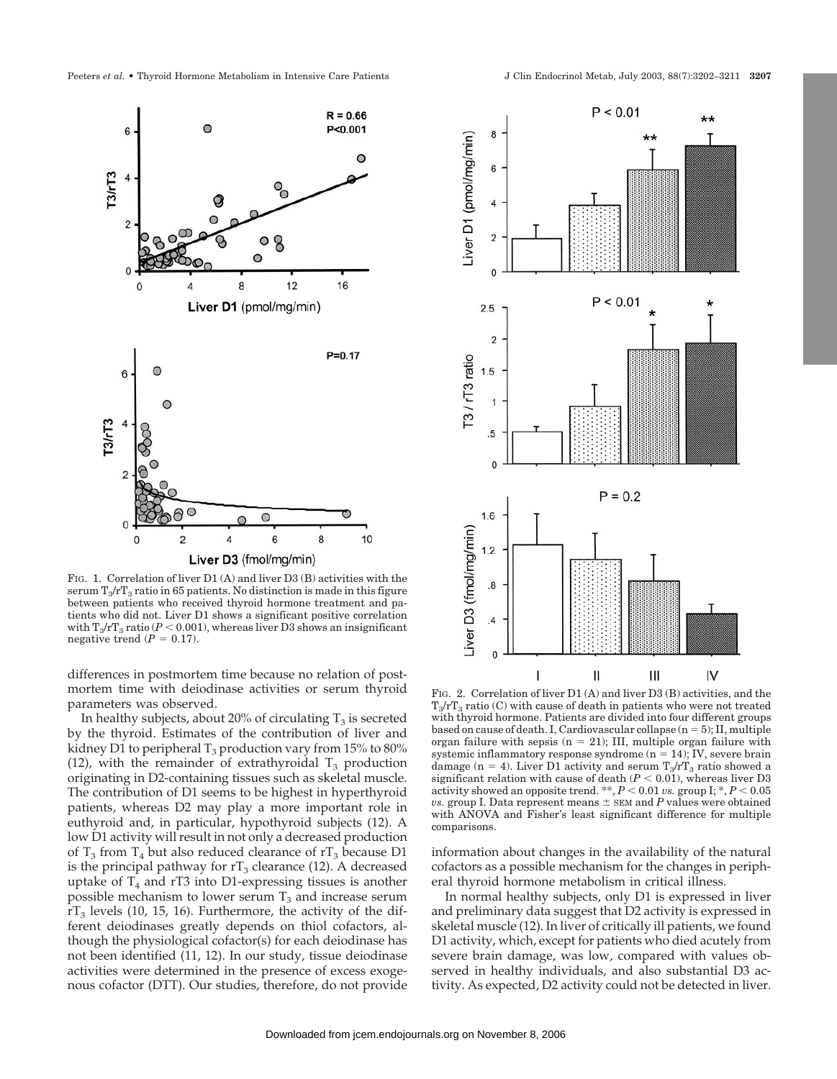

FIG. 1. Correlation of liver D1 (A) and liver D3 (B) activities with the serum  $T_3/rT_3$  ratio in 65 patients. No distinction is made in this figure between patients who received thyroid hormone treatment and patients who did not. Liver D1 shows a significant positive correlation with  $T_3/rT_3$  ratio ( $P < 0.001$ ), whereas liver D3 shows an insignificant negative trend  $(P = 0.17)$ .

differences in postmortem time because no relation of postmortem time with deiodinase activities or serum thyroid parameters was observed.

In healthy subjects, about 20% of circulating  $T_3$  is secreted by the thyroid. Estimates of the contribution of liver and kidney D1 to peripheral  $T_3$  production vary from 15% to 80% (12), with the remainder of extrathyroidal  $T_3$  production originating in D2-containing tissues such as skeletal muscle. The contribution of D1 seems to be highest in hyperthyroid patients, whereas D2 may play a more important role in euthyroid and, in particular, hypothyroid subjects (12). A low D1 activity will result in not only a decreased production of  $T_3$  from  $T_4$  but also reduced clearance of  $rT_3$  because D1 is the principal pathway for  $rT_3$  clearance (12). A decreased uptake of  $T_4$  and rT3 into D1-expressing tissues is another possible mechanism to lower serum  $T_3$  and increase serum  $rT_3$  levels (10, 15, 16). Furthermore, the activity of the different deiodinases greatly depends on thiol cofactors, although the physiological cofactor(s) for each deiodinase has not been identified (11, 12). In our study, tissue deiodinase activities were determined in the presence of excess exogenous cofactor (DTT). Our studies, therefore, do not provide



FIG. 2. Correlation of liver D1 (A) and liver D3 (B) activities, and the  $T_3/T_3$  ratio (C) with cause of death in patients who were not treated with thyroid hormone. Patients are divided into four different groups based on cause of death. I, Cardiovascular collapse (n = 5); II, multiple organ failure with sepsis  $(n = 21)$ ; III, multiple organ failure with  $systemic$  inflammatory response syndrome  $(n = 14)$ ; IV, severe brain damage (n = 4). Liver D1 activity and serum  $T_3/rT_3$  ratio showed a significant relation with cause of death  $(P < 0.01)$ , whereas liver D3 activity showed an opposite trend.  $**$ ,  $P < 0.01$  *vs.* group I;  $*$ ,  $P < 0.05$  $vs.$  group I. Data represent means  $\pm$  SEM and  $P$  values were obtained with ANOVA and Fisher's least significant difference for multiple comparisons.

information about changes in the availability of the natural cofactors as a possible mechanism for the changes in peripheral thyroid hormone metabolism in critical illness.

In normal healthy subjects, only D1 is expressed in liver and preliminary data suggest that D2 activity is expressed in skeletal muscle (12). In liver of critically ill patients, we found D1 activity, which, except for patients who died acutely from severe brain damage, was low, compared with values observed in healthy individuals, and also substantial D3 activity. As expected, D2 activity could not be detected in liver.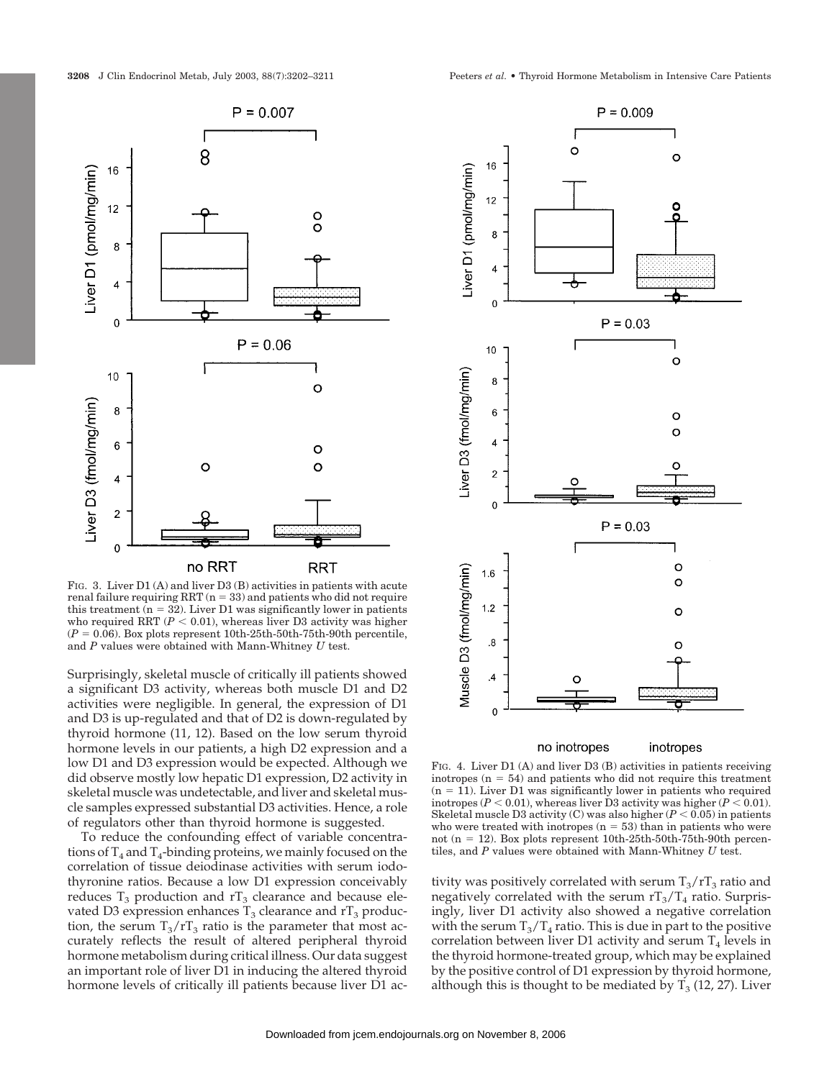

FIG. 3. Liver D1 (A) and liver D3 (B) activities in patients with acute  $\operatorname{real}$  failure requiring  $\operatorname{RRT}$  (n = 33) and patients who did not require this treatment  $(n = 32)$ . Liver D1 was significantly lower in patients who required RRT  $(P < 0.01)$  , whereas liver D3 activity was higher  $(P = 0.06)$ . Box plots represent 10th-25th-50th-75th-90th percentile, and *P* values were obtained with Mann-Whitney *U* test.

Surprisingly, skeletal muscle of critically ill patients showed a significant D3 activity, whereas both muscle D1 and D2 activities were negligible. In general, the expression of D1 and D3 is up-regulated and that of D2 is down-regulated by thyroid hormone (11, 12). Based on the low serum thyroid hormone levels in our patients, a high D2 expression and a low D1 and D3 expression would be expected. Although we did observe mostly low hepatic D1 expression, D2 activity in skeletal muscle was undetectable, and liver and skeletal muscle samples expressed substantial D3 activities. Hence, a role of regulators other than thyroid hormone is suggested.

To reduce the confounding effect of variable concentrations of  $T_4$  and  $T_4$ -binding proteins, we mainly focused on the correlation of tissue deiodinase activities with serum iodothyronine ratios. Because a low D1 expression conceivably reduces  $T_3$  production and  $rT_3$  clearance and because elevated D3 expression enhances  $T_3$  clearance and  $rT_3$  production, the serum  $T_3/T_3$  ratio is the parameter that most accurately reflects the result of altered peripheral thyroid hormone metabolism during critical illness. Our data suggest an important role of liver D1 in inducing the altered thyroid hormone levels of critically ill patients because liver D1 ac-



no inotropes inotropes

FIG. 4. Liver D1 (A) and liver D3 (B) activities in patients receiving inotropes  $(n = 54)$  and patients who did not require this treatment  $(n = 11)$ . Liver D1 was significantly lower in patients who required inotropes ( $P < 0.01$ ), whereas liver D3 activity was higher ( $P < 0.01$ ). Skeletal muscle D3 activity (C) was also higher  $(P < 0.05)$  in patients who were treated with inotropes  $(n = 53)$  than in patients who were not (n = 12). Box plots represent  $10th-25th-50th-75th-90th$  percentiles, and *P* values were obtained with Mann-Whitney *U* test.

tivity was positively correlated with serum  $T_3/T_3$  ratio and negatively correlated with the serum  $rT_3/T_4$  ratio. Surprisingly, liver D1 activity also showed a negative correlation with the serum  $T_3/T_4$  ratio. This is due in part to the positive correlation between liver D1 activity and serum  $T_4$  levels in the thyroid hormone-treated group, which may be explained by the positive control of D1 expression by thyroid hormone, although this is thought to be mediated by  $T_3$  (12, 27). Liver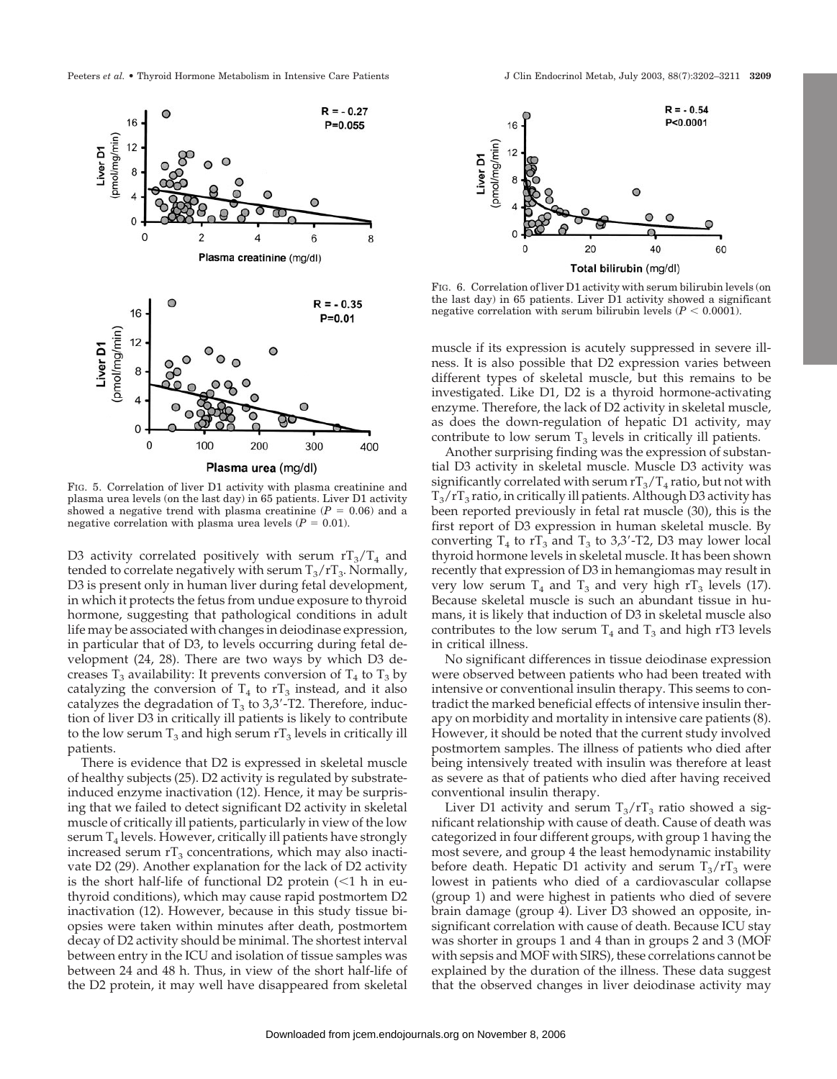

FIG. 5. Correlation of liver D1 activity with plasma creatinine and plasma urea levels (on the last day) in 65 patients. Liver D1 activity showed a negative trend with plasma creatinine  $(P = 0.06)$  and a negative correlation with plasma urea levels  $(P = 0.01)$ .

D3 activity correlated positively with serum  $rT_3/T_4$  and tended to correlate negatively with serum  $T_3/rT_3$ . Normally, D3 is present only in human liver during fetal development, in which it protects the fetus from undue exposure to thyroid hormone, suggesting that pathological conditions in adult life may be associated with changes in deiodinase expression, in particular that of D3, to levels occurring during fetal development (24, 28). There are two ways by which D3 decreases  $T_3$  availability: It prevents conversion of  $T_4$  to  $T_3$  by catalyzing the conversion of  $T_4$  to  $rT_3$  instead, and it also catalyzes the degradation of  $T_3$  to 3,3'-T2. Therefore, induction of liver D3 in critically ill patients is likely to contribute to the low serum  $T_3$  and high serum  $T_3$  levels in critically ill patients.

There is evidence that D2 is expressed in skeletal muscle of healthy subjects (25). D2 activity is regulated by substrateinduced enzyme inactivation (12). Hence, it may be surprising that we failed to detect significant D2 activity in skeletal muscle of critically ill patients, particularly in view of the low serum  $T_4$  levels. However, critically ill patients have strongly increased serum  $rT_3$  concentrations, which may also inactivate D2 (29). Another explanation for the lack of D2 activity is the short half-life of functional D2 protein  $\left($  < 1 h in euthyroid conditions), which may cause rapid postmortem D2 inactivation (12). However, because in this study tissue biopsies were taken within minutes after death, postmortem decay of D2 activity should be minimal. The shortest interval between entry in the ICU and isolation of tissue samples was between 24 and 48 h. Thus, in view of the short half-life of the D2 protein, it may well have disappeared from skeletal





FIG. 6. Correlation of liver D1 activity with serum bilirubin levels (on the last day) in 65 patients. Liver D1 activity showed a significant negative correlation with serum bilirubin levels  $(P < 0.0001)$ .

muscle if its expression is acutely suppressed in severe illness. It is also possible that D2 expression varies between different types of skeletal muscle, but this remains to be investigated. Like D1, D2 is a thyroid hormone-activating enzyme. Therefore, the lack of D2 activity in skeletal muscle, as does the down-regulation of hepatic D1 activity, may contribute to low serum  $T_3$  levels in critically ill patients.

Another surprising finding was the expression of substantial D3 activity in skeletal muscle. Muscle D3 activity was significantly correlated with serum  $rT_3/T_4$  ratio, but not with  $T_3/T_3$  ratio, in critically ill patients. Although D3 activity has been reported previously in fetal rat muscle (30), this is the first report of D3 expression in human skeletal muscle. By converting  $T_4$  to  $rT_3$  and  $T_3$  to 3,3'-T2, D3 may lower local thyroid hormone levels in skeletal muscle. It has been shown recently that expression of D3 in hemangiomas may result in very low serum  $T_4$  and  $T_3$  and very high rT<sub>3</sub> levels (17). Because skeletal muscle is such an abundant tissue in humans, it is likely that induction of D3 in skeletal muscle also contributes to the low serum  $T_4$  and  $T_3$  and high rT3 levels in critical illness.

No significant differences in tissue deiodinase expression were observed between patients who had been treated with intensive or conventional insulin therapy. This seems to contradict the marked beneficial effects of intensive insulin therapy on morbidity and mortality in intensive care patients (8). However, it should be noted that the current study involved postmortem samples. The illness of patients who died after being intensively treated with insulin was therefore at least as severe as that of patients who died after having received conventional insulin therapy.

Liver D1 activity and serum  $T_3/T_3$  ratio showed a significant relationship with cause of death. Cause of death was categorized in four different groups, with group 1 having the most severe, and group 4 the least hemodynamic instability before death. Hepatic D1 activity and serum  $T_3/rT_3$  were lowest in patients who died of a cardiovascular collapse (group 1) and were highest in patients who died of severe brain damage (group 4). Liver D3 showed an opposite, insignificant correlation with cause of death. Because ICU stay was shorter in groups 1 and 4 than in groups 2 and 3 (MOF with sepsis and MOF with SIRS), these correlations cannot be explained by the duration of the illness. These data suggest that the observed changes in liver deiodinase activity may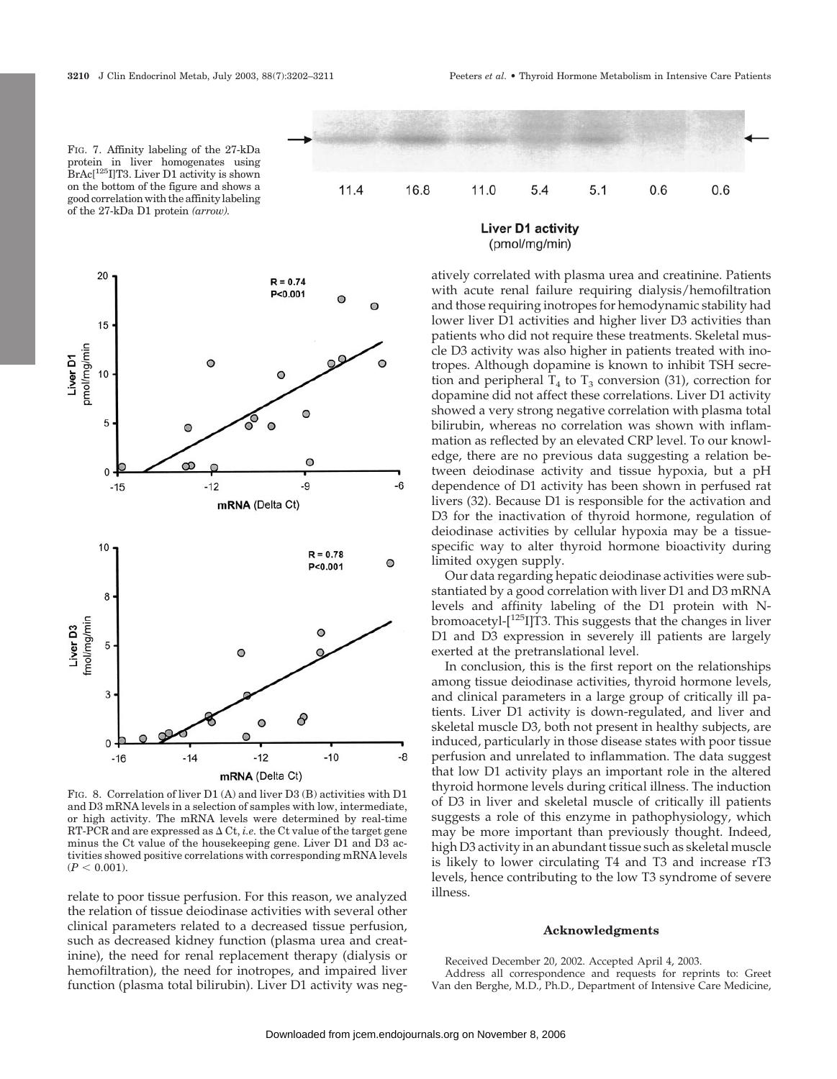FIG. 7. Affinity labeling of the 27-kDa protein in liver homogenates using BrAc[125I]T3. Liver D1 activity is shown

 $5.1$ 

 $0.6$ 

 $0.6$ 



FIG. 8. Correlation of liver D1 (A) and liver D3 (B) activities with D1 and D3 mRNA levels in a selection of samples with low, intermediate, or high activity. The mRNA levels were determined by real-time RT-PCR and are expressed as  $\Delta$  Ct, *i.e.* the Ct value of the target gene minus the Ct value of the housekeeping gene. Liver D1 and D3 activities showed positive correlations with corresponding mRNA levels  $(P < 0.001)$ .

relate to poor tissue perfusion. For this reason, we analyzed the relation of tissue deiodinase activities with several other clinical parameters related to a decreased tissue perfusion, such as decreased kidney function (plasma urea and creatinine), the need for renal replacement therapy (dialysis or hemofiltration), the need for inotropes, and impaired liver function (plasma total bilirubin). Liver D1 activity was neg-



5.4

11.0

atively correlated with plasma urea and creatinine. Patients with acute renal failure requiring dialysis/hemofiltration and those requiring inotropes for hemodynamic stability had lower liver D1 activities and higher liver D3 activities than patients who did not require these treatments. Skeletal muscle D3 activity was also higher in patients treated with inotropes. Although dopamine is known to inhibit TSH secretion and peripheral  $T_4$  to  $T_3$  conversion (31), correction for dopamine did not affect these correlations. Liver D1 activity showed a very strong negative correlation with plasma total bilirubin, whereas no correlation was shown with inflammation as reflected by an elevated CRP level. To our knowledge, there are no previous data suggesting a relation between deiodinase activity and tissue hypoxia, but a pH dependence of D1 activity has been shown in perfused rat livers (32). Because D1 is responsible for the activation and D3 for the inactivation of thyroid hormone, regulation of deiodinase activities by cellular hypoxia may be a tissuespecific way to alter thyroid hormone bioactivity during limited oxygen supply.

Our data regarding hepatic deiodinase activities were substantiated by a good correlation with liver D1 and D3 mRNA levels and affinity labeling of the D1 protein with Nbromoacetyl- $[125]$ T3. This suggests that the changes in liver D1 and D3 expression in severely ill patients are largely exerted at the pretranslational level.

In conclusion, this is the first report on the relationships among tissue deiodinase activities, thyroid hormone levels, and clinical parameters in a large group of critically ill patients. Liver D1 activity is down-regulated, and liver and skeletal muscle D3, both not present in healthy subjects, are induced, particularly in those disease states with poor tissue perfusion and unrelated to inflammation. The data suggest that low D1 activity plays an important role in the altered thyroid hormone levels during critical illness. The induction of D3 in liver and skeletal muscle of critically ill patients suggests a role of this enzyme in pathophysiology, which may be more important than previously thought. Indeed, high D3 activity in an abundant tissue such as skeletal muscle is likely to lower circulating T4 and T3 and increase rT3 levels, hence contributing to the low T3 syndrome of severe illness.

#### **Acknowledgments**

Received December 20, 2002. Accepted April 4, 2003. Address all correspondence and requests for reprints to: Greet Van den Berghe, M.D., Ph.D., Department of Intensive Care Medicine,